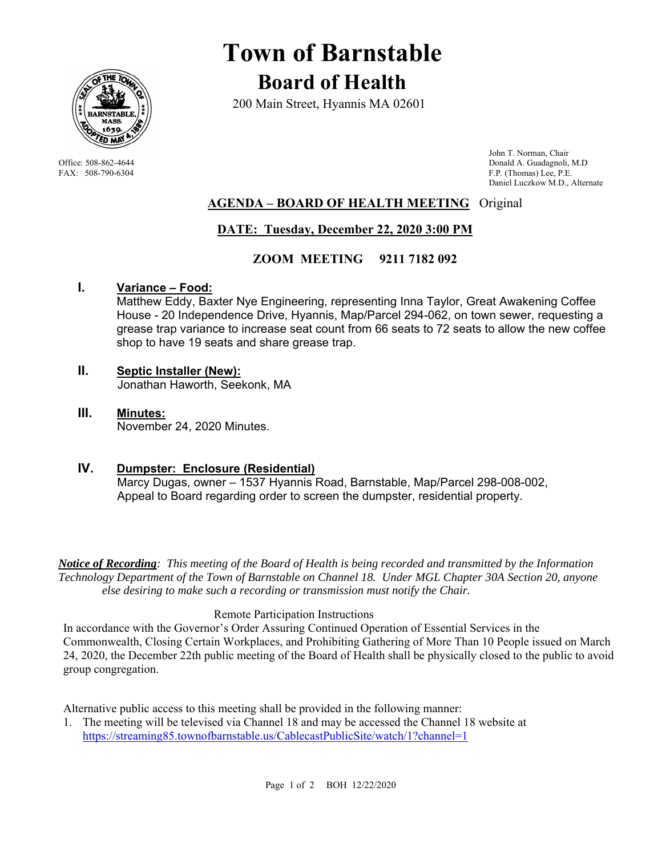

# **Town of Barnstable Board of Health**

200 Main Street, Hyannis MA 02601

 John T. Norman, Chair Office: 508-862-4644 Donald A. Guadagnoli, M.D<br>
FAX: 508-790-6304 FAX: 508-790-6304 F.P. (Thomas) Lee, P.E. F.P. (Thomas) Lee, P.E. Daniel Luczkow M.D., Alternate

## **AGENDA – BOARD OF HEALTH MEETING** Original

# **DATE: Tuesday, December 22, 2020 3:00 PM**

### **ZOOM MEETING 9211 7182 092**

#### **I. Variance – Food:**

Matthew Eddy, Baxter Nye Engineering, representing Inna Taylor, Great Awakening Coffee House - 20 Independence Drive, Hyannis, Map/Parcel 294-062, on town sewer, requesting a grease trap variance to increase seat count from 66 seats to 72 seats to allow the new coffee shop to have 19 seats and share grease trap.

- **II. Septic Installer (New):** Jonathan Haworth, Seekonk, MA
- **III. Minutes:** November 24, 2020 Minutes.

#### **IV. Dumpster: Enclosure (Residential)** Marcy Dugas, owner – 1537 Hyannis Road, Barnstable, Map/Parcel 298-008-002, Appeal to Board regarding order to screen the dumpster, residential property.

*Notice of Recording: This meeting of the Board of Health is being recorded and transmitted by the Information Technology Department of the Town of Barnstable on Channel 18. Under MGL Chapter 30A Section 20, anyone else desiring to make such a recording or transmission must notify the Chair.* 

#### Remote Participation Instructions

In accordance with the Governor's Order Assuring Continued Operation of Essential Services in the Commonwealth, Closing Certain Workplaces, and Prohibiting Gathering of More Than 10 People issued on March 24, 2020, the December 22th public meeting of the Board of Health shall be physically closed to the public to avoid group congregation.

Alternative public access to this meeting shall be provided in the following manner:

1. The meeting will be televised via Channel 18 and may be accessed the Channel 18 website at https://streaming85.townofbarnstable.us/CablecastPublicSite/watch/1?channel=1